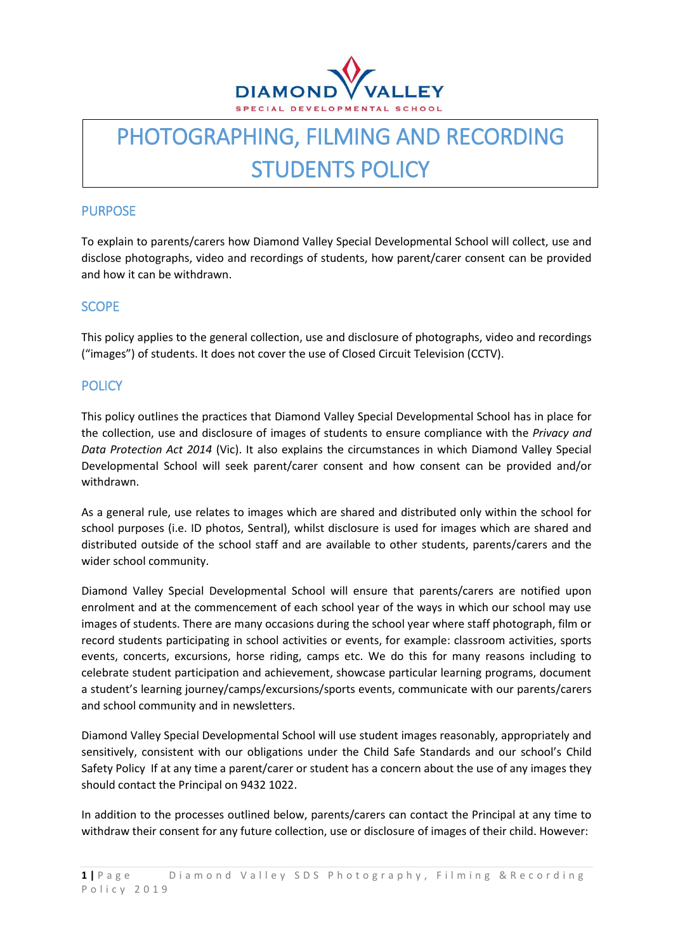

# PHOTOGRAPHING, FILMING AND RECORDING STUDENTS POLICY

# PURPOSE

To explain to parents/carers how Diamond Valley Special Developmental School will collect, use and disclose photographs, video and recordings of students, how parent/carer consent can be provided and how it can be withdrawn.

# **SCOPE**

This policy applies to the general collection, use and disclosure of photographs, video and recordings ("images") of students. It does not cover the use of Closed Circuit Television (CCTV).

## **POLICY**

This policy outlines the practices that Diamond Valley Special Developmental School has in place for the collection, use and disclosure of images of students to ensure compliance with the *Privacy and Data Protection Act 2014* (Vic). It also explains the circumstances in which Diamond Valley Special Developmental School will seek parent/carer consent and how consent can be provided and/or withdrawn.

As a general rule, use relates to images which are shared and distributed only within the school for school purposes (i.e. ID photos, Sentral), whilst disclosure is used for images which are shared and distributed outside of the school staff and are available to other students, parents/carers and the wider school community.

Diamond Valley Special Developmental School will ensure that parents/carers are notified upon enrolment and at the commencement of each school year of the ways in which our school may use images of students. There are many occasions during the school year where staff photograph, film or record students participating in school activities or events, for example: classroom activities, sports events, concerts, excursions, horse riding, camps etc. We do this for many reasons including to celebrate student participation and achievement, showcase particular learning programs, document a student's learning journey/camps/excursions/sports events, communicate with our parents/carers and school community and in newsletters.

Diamond Valley Special Developmental School will use student images reasonably, appropriately and sensitively, consistent with our obligations under the Child Safe Standards and our school's Child Safety Policy If at any time a parent/carer or student has a concern about the use of any images they should contact the Principal on 9432 1022.

In addition to the processes outlined below, parents/carers can contact the Principal at any time to withdraw their consent for any future collection, use or disclosure of images of their child. However: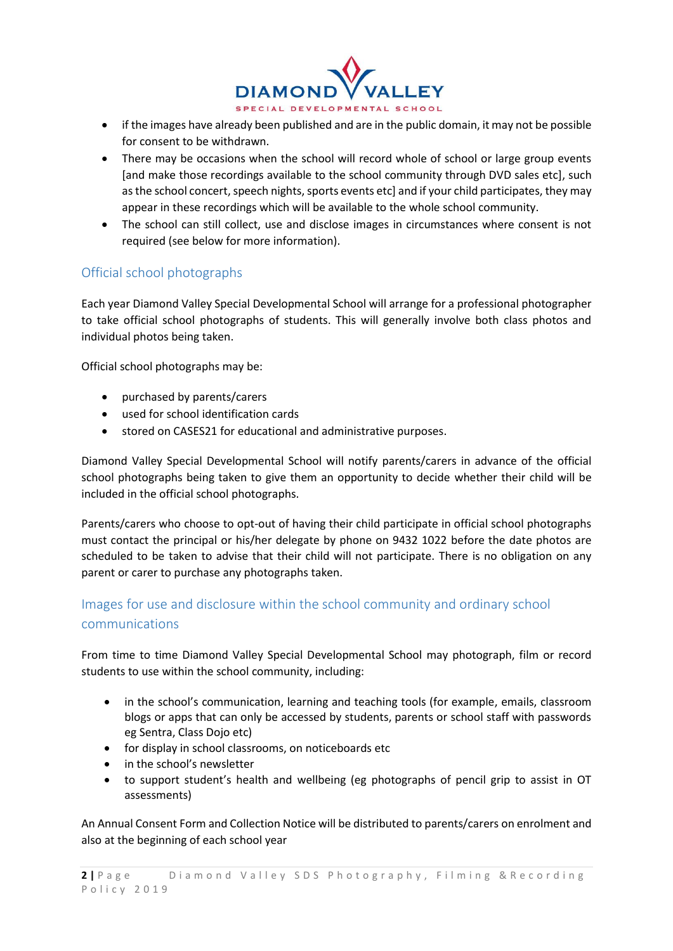

- if the images have already been published and are in the public domain, it may not be possible for consent to be withdrawn.
- There may be occasions when the school will record whole of school or large group events [and make those recordings available to the school community through DVD sales etc], such as the school concert, speech nights, sports events etc] and if your child participates, they may appear in these recordings which will be available to the whole school community.
- The school can still collect, use and disclose images in circumstances where consent is not required (see below for more information).

# Official school photographs

Each year Diamond Valley Special Developmental School will arrange for a professional photographer to take official school photographs of students. This will generally involve both class photos and individual photos being taken.

Official school photographs may be:

- purchased by parents/carers
- used for school identification cards
- stored on CASES21 for educational and administrative purposes.

Diamond Valley Special Developmental School will notify parents/carers in advance of the official school photographs being taken to give them an opportunity to decide whether their child will be included in the official school photographs.

Parents/carers who choose to opt-out of having their child participate in official school photographs must contact the principal or his/her delegate by phone on 9432 1022 before the date photos are scheduled to be taken to advise that their child will not participate. There is no obligation on any parent or carer to purchase any photographs taken.

# Images for use and disclosure within the school community and ordinary school communications

From time to time Diamond Valley Special Developmental School may photograph, film or record students to use within the school community, including:

- in the school's communication, learning and teaching tools (for example, emails, classroom blogs or apps that can only be accessed by students, parents or school staff with passwords eg Sentra, Class Dojo etc)
- for display in school classrooms, on noticeboards etc
- in the school's newsletter
- to support student's health and wellbeing (eg photographs of pencil grip to assist in OT assessments)

An Annual Consent Form and Collection Notice will be distributed to parents/carers on enrolment and also at the beginning of each school year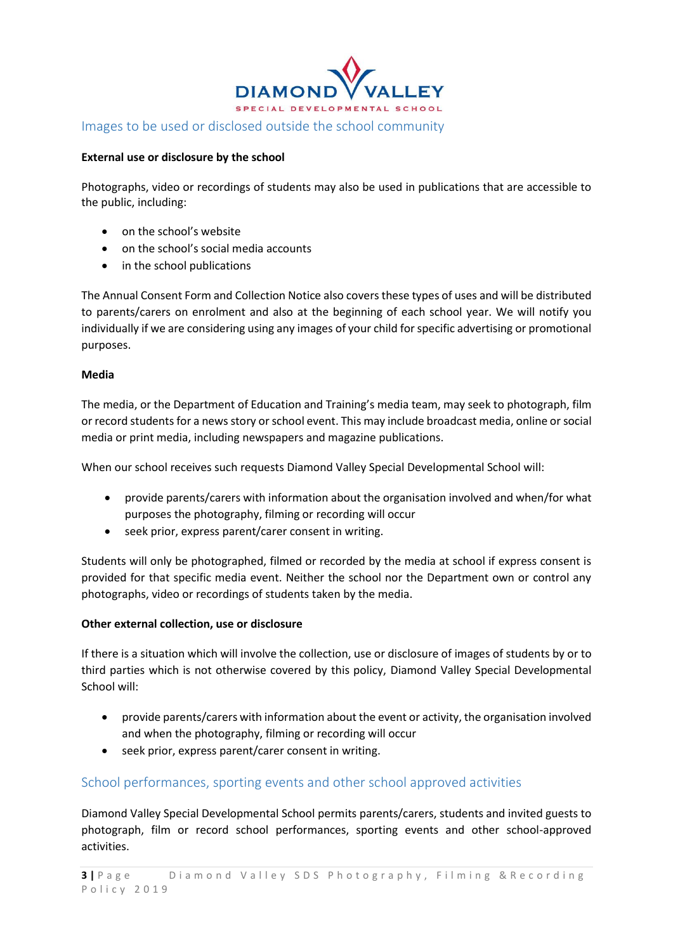

#### **External use or disclosure by the school**

Photographs, video or recordings of students may also be used in publications that are accessible to the public, including:

- on the school's website
- on the school's social media accounts
- in the school publications

The Annual Consent Form and Collection Notice also covers these types of uses and will be distributed to parents/carers on enrolment and also at the beginning of each school year. We will notify you individually if we are considering using any images of your child for specific advertising or promotional purposes.

#### **Media**

The media, or the Department of Education and Training's media team, may seek to photograph, film or record students for a news story or school event. This may include broadcast media, online or social media or print media, including newspapers and magazine publications.

When our school receives such requests Diamond Valley Special Developmental School will:

- provide parents/carers with information about the organisation involved and when/for what purposes the photography, filming or recording will occur
- seek prior, express parent/carer consent in writing.

Students will only be photographed, filmed or recorded by the media at school if express consent is provided for that specific media event. Neither the school nor the Department own or control any photographs, video or recordings of students taken by the media.

#### **Other external collection, use or disclosure**

If there is a situation which will involve the collection, use or disclosure of images of students by or to third parties which is not otherwise covered by this policy, Diamond Valley Special Developmental School will:

- provide parents/carers with information about the event or activity, the organisation involved and when the photography, filming or recording will occur
- seek prior, express parent/carer consent in writing.

### School performances, sporting events and other school approved activities

Diamond Valley Special Developmental School permits parents/carers, students and invited guests to photograph, film or record school performances, sporting events and other school-approved activities.